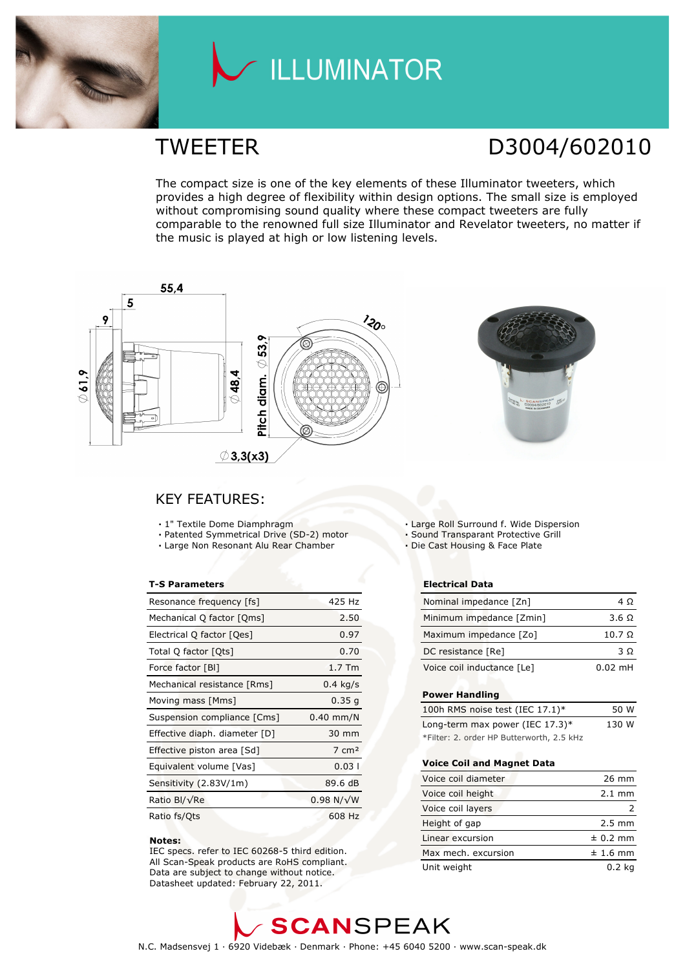

# LLUMINATOR

## TWEETER D3004/602010

The compact size is one of the key elements of these Illuminator tweeters, which provides a high degree of flexibility within design options. The small size is employed without compromising sound quality where these compact tweeters are fully comparable to the renowned full size Illuminator and Revelator tweeters, no matter if the music is played at high or low listening levels.



### KEY FEATURES:

- 1" Textile Dome Diamphragm
- Patented Symmetrical Drive (SD-2) motor
- Large Non Resonant Alu Rear Chamber

#### T-S Parameters

| Resonance frequency [fs]      | 425 Hz            |
|-------------------------------|-------------------|
| Mechanical Q factor [Qms]     | 2.50              |
| Electrical Q factor [Qes]     | 0.97              |
| Total Q factor [Ots]          | 0.70              |
| Force factor [BI]             | $1.7$ Tm          |
| Mechanical resistance [Rms]   | $0.4$ kg/s        |
| Moving mass [Mms]             | 0.35g             |
| Suspension compliance [Cms]   | $0.40$ mm/N       |
| Effective diaph. diameter [D] | 30 mm             |
| Effective piston area [Sd]    | $7 \text{ cm}^2$  |
| Equivalent volume [Vas]       | 0.031             |
| Sensitivity (2.83V/1m)        | 89.6 dB           |
| Ratio Bl/√Re                  | $0.98 N/\sqrt{W}$ |
| Ratio fs/Qts                  | 608 Hz            |

#### Notes:

 IEC specs. refer to IEC 60268-5 third edition. All Scan-Speak products are RoHS compliant. Data are subject to change without notice. Datasheet updated: February 22, 2011.

Large Roll Surround f. Wide Dispersion

Sound Transparant Protective Grill

Die Cast Housing & Face Plate

#### Electrical Data

| Nominal impedance [Zn]     | 4 O                  |
|----------------------------|----------------------|
| Minimum impedance [Zmin]   | 3.6 Q                |
| Maximum impedance [Zo]     | $10.7\ \Omega$       |
| DC resistance [Re]         | 3 O                  |
| Voice coil inductance [Le] | $0.02 \, \text{m}$ H |

#### Power Handling

| 100h RMS noise test (IEC $17.1$ )*        | 50 W  |
|-------------------------------------------|-------|
| Long-term max power (IEC $17.3$ )*        | 130 W |
| *Filter: 2. order HP Butterworth, 2.5 kHz |       |

#### Voice Coil and Magnet Data

| Voice coil diameter | 26 mm            |
|---------------------|------------------|
| Voice coil height   | $2.1 \text{ mm}$ |
| Voice coil layers   |                  |
| Height of gap       | $2.5 \text{ mm}$ |
| Linear excursion    | $± 0.2$ mm       |
| Max mech. excursion | $± 1.6$ mm       |
| Unit weight         | $0.2$ ka         |